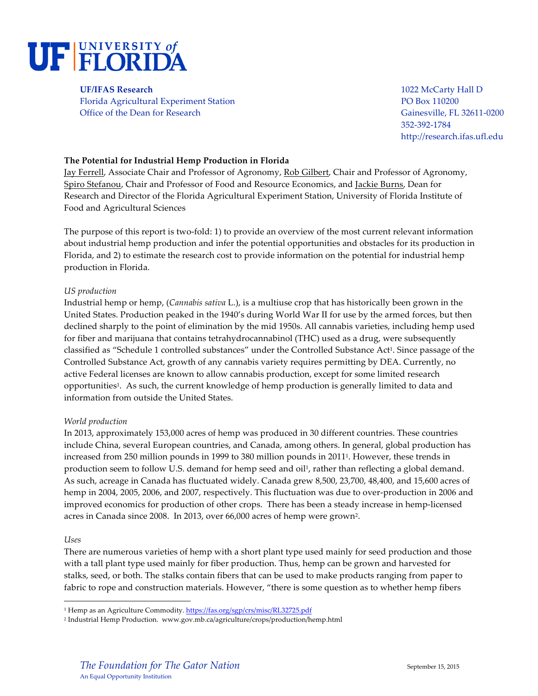

**UF/IFAS Research** 1022 McCarty Hall D Florida Agricultural Experiment Station PO Box 110200 Office of the Dean for Research Gainesville, FL 32611-0200

352-392-1784 http://research.ifas.ufl.edu

# **The Potential for Industrial Hemp Production in Florida**

Jay Ferrell, Associate Chair and Professor of Agronomy, Rob Gilbert, Chair and Professor of Agronomy, Spiro Stefanou, Chair and Professor of Food and Resource Economics, and Jackie Burns, Dean for Research and Director of the Florida Agricultural Experiment Station, University of Florida Institute of Food and Agricultural Sciences

The purpose of this report is two-fold: 1) to provide an overview of the most current relevant information about industrial hemp production and infer the potential opportunities and obstacles for its production in Florida, and 2) to estimate the research cost to provide information on the potential for industrial hemp production in Florida.

### *US production*

Industrial hemp or hemp, (*Cannabis sativa* L.), is a multiuse crop that has historically been grown in the United States. Production peaked in the 1940's during World War II for use by the armed forces, but then declined sharply to the point of elimination by the mid 1950s. All cannabis varieties, including hemp used for fiber and marijuana that contains tetrahydrocannabinol (THC) used as a drug, were subsequently classified as "Schedule 1 controlled substances" under the Controlled Substance Act1. Since passage of the Controlled Substance Act, growth of any cannabis variety requires permitting by DEA. Currently, no active Federal licenses are known to allow cannabis production, except for some limited research opportunities1. As such, the current knowledge of hemp production is generally limited to data and information from outside the United States.

### *World production*

In 2013, approximately 153,000 acres of hemp was produced in 30 different countries. These countries include China, several European countries, and Canada, among others. In general, global production has increased from 250 million pounds in 1999 to 380 million pounds in 20111. However, these trends in production seem to follow U.S. demand for hemp seed and oil<sup>1</sup>, rather than reflecting a global demand. As such, acreage in Canada has fluctuated widely. Canada grew 8,500, 23,700, 48,400, and 15,600 acres of hemp in 2004, 2005, 2006, and 2007, respectively. This fluctuation was due to over-production in 2006 and improved economics for production of other crops. There has been a steady increase in hemp-licensed acres in Canada since 2008. In 2013, over 66,000 acres of hemp were grown2.

### *Uses*

There are numerous varieties of hemp with a short plant type used mainly for seed production and those with a tall plant type used mainly for fiber production. Thus, hemp can be grown and harvested for stalks, seed, or both. The stalks contain fibers that can be used to make products ranging from paper to fabric to rope and construction materials. However, "there is some question as to whether hemp fibers

<sup>&</sup>lt;sup>1</sup> Hemp as an Agriculture Commodity. https://fas.org/sgp/crs/misc/RL32725.pdf

<sup>2</sup> Industrial Hemp Production. www.gov.mb.ca/agriculture/crops/production/hemp.html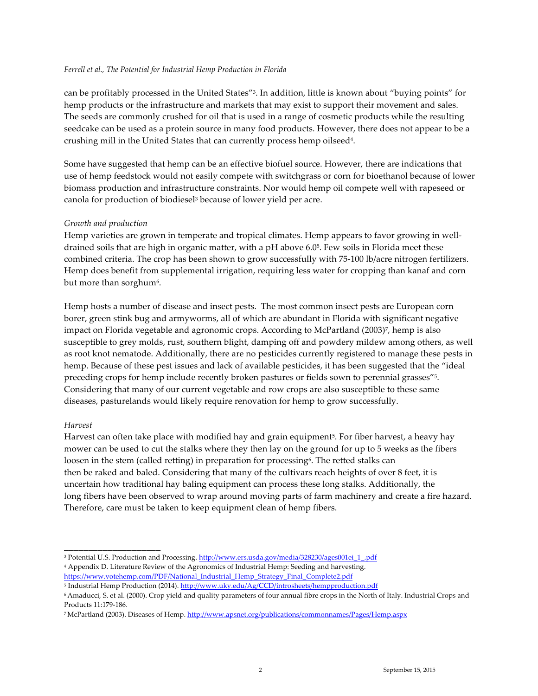### *Ferrell et al., The Potential for Industrial Hemp Production in Florida*

can be profitably processed in the United States"3. In addition, little is known about "buying points" for hemp products or the infrastructure and markets that may exist to support their movement and sales. The seeds are commonly crushed for oil that is used in a range of cosmetic products while the resulting seedcake can be used as a protein source in many food products. However, there does not appear to be a crushing mill in the United States that can currently process hemp oilseed4.

Some have suggested that hemp can be an effective biofuel source. However, there are indications that use of hemp feedstock would not easily compete with switchgrass or corn for bioethanol because of lower biomass production and infrastructure constraints. Nor would hemp oil compete well with rapeseed or canola for production of biodiesel3 because of lower yield per acre.

# *Growth and production*

Hemp varieties are grown in temperate and tropical climates. Hemp appears to favor growing in welldrained soils that are high in organic matter, with a pH above 6.05. Few soils in Florida meet these combined criteria. The crop has been shown to grow successfully with 75-100 lb/acre nitrogen fertilizers. Hemp does benefit from supplemental irrigation, requiring less water for cropping than kanaf and corn but more than sorghum<sup>6</sup>.

Hemp hosts a number of disease and insect pests. The most common insect pests are European corn borer, green stink bug and armyworms, all of which are abundant in Florida with significant negative impact on Florida vegetable and agronomic crops. According to McPartland (2003)7, hemp is also susceptible to grey molds, rust, southern blight, damping off and powdery mildew among others, as well as root knot nematode. Additionally, there are no pesticides currently registered to manage these pests in hemp. Because of these pest issues and lack of available pesticides, it has been suggested that the "ideal preceding crops for hemp include recently broken pastures or fields sown to perennial grasses"5. Considering that many of our current vegetable and row crops are also susceptible to these same diseases, pasturelands would likely require renovation for hemp to grow successfully.

### *Harvest*

\_\_\_\_\_\_\_\_\_\_\_\_\_\_\_\_\_\_\_\_

Harvest can often take place with modified hay and grain equipment<sup>5</sup>. For fiber harvest, a heavy hay mower can be used to cut the stalks where they then lay on the ground for up to 5 weeks as the fibers loosen in the stem (called retting) in preparation for processing<sup>6</sup>. The retted stalks can then be raked and baled. Considering that many of the cultivars reach heights of over 8 feet, it is uncertain how traditional hay baling equipment can process these long stalks. Additionally, the long fibers have been observed to wrap around moving parts of farm machinery and create a fire hazard. Therefore, care must be taken to keep equipment clean of hemp fibers.

<sup>&</sup>lt;sup>3</sup> Potential U.S. Production and Processing. http://www.ers.usda.gov/media/328230/ages001ei 1.pdf

<sup>4</sup> Appendix D. Literature Review of the Agronomics of Industrial Hemp: Seeding and harvesting. https://www.votehemp.com/PDF/National\_Industrial\_Hemp\_Strategy\_Final\_Complete2.pdf

<sup>5</sup> Industrial Hemp Production (2014). http://www.uky.edu/Ag/CCD/introsheets/hempproduction.pdf

<sup>6</sup> Amaducci, S. et al. (2000). Crop yield and quality parameters of four annual fibre crops in the North of Italy. Industrial Crops and Products 11:179-186.

<sup>7</sup> McPartland (2003). Diseases of Hemp. http://www.apsnet.org/publications/commonnames/Pages/Hemp.aspx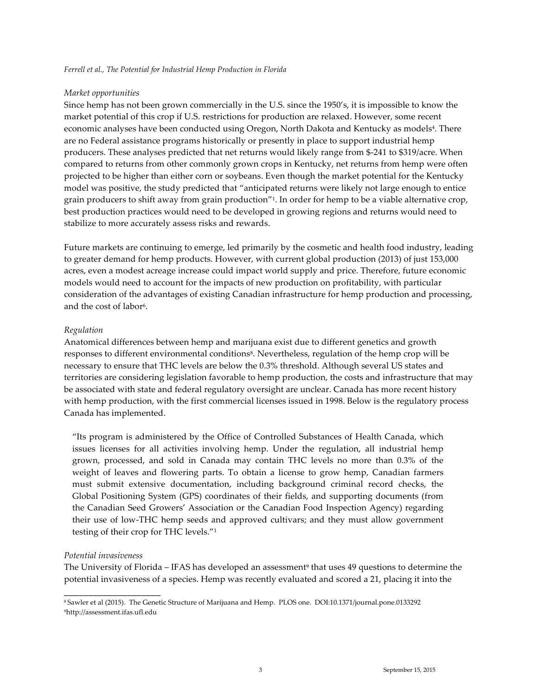#### *Market opportunities*

Since hemp has not been grown commercially in the U.S. since the 1950's, it is impossible to know the market potential of this crop if U.S. restrictions for production are relaxed. However, some recent economic analyses have been conducted using Oregon, North Dakota and Kentucky as models4. There are no Federal assistance programs historically or presently in place to support industrial hemp producers. These analyses predicted that net returns would likely range from \$-241 to \$319/acre. When compared to returns from other commonly grown crops in Kentucky, net returns from hemp were often projected to be higher than either corn or soybeans. Even though the market potential for the Kentucky model was positive, the study predicted that "anticipated returns were likely not large enough to entice grain producers to shift away from grain production"1. In order for hemp to be a viable alternative crop, best production practices would need to be developed in growing regions and returns would need to stabilize to more accurately assess risks and rewards.

Future markets are continuing to emerge, led primarily by the cosmetic and health food industry, leading to greater demand for hemp products. However, with current global production (2013) of just 153,000 acres, even a modest acreage increase could impact world supply and price. Therefore, future economic models would need to account for the impacts of new production on profitability, with particular consideration of the advantages of existing Canadian infrastructure for hemp production and processing, and the cost of labor6.

#### *Regulation*

Anatomical differences between hemp and marijuana exist due to different genetics and growth responses to different environmental conditions<sup>8</sup>. Nevertheless, regulation of the hemp crop will be necessary to ensure that THC levels are below the 0.3% threshold. Although several US states and territories are considering legislation favorable to hemp production, the costs and infrastructure that may be associated with state and federal regulatory oversight are unclear. Canada has more recent history with hemp production, with the first commercial licenses issued in 1998. Below is the regulatory process Canada has implemented.

"Its program is administered by the Office of Controlled Substances of Health Canada, which issues licenses for all activities involving hemp. Under the regulation, all industrial hemp grown, processed, and sold in Canada may contain THC levels no more than 0.3% of the weight of leaves and flowering parts. To obtain a license to grow hemp, Canadian farmers must submit extensive documentation, including background criminal record checks, the Global Positioning System (GPS) coordinates of their fields, and supporting documents (from the Canadian Seed Growers' Association or the Canadian Food Inspection Agency) regarding their use of low-THC hemp seeds and approved cultivars; and they must allow government testing of their crop for THC levels."1

#### *Potential invasiveness*

\_\_\_\_\_\_\_\_\_\_\_\_\_\_\_\_\_\_\_\_

The University of Florida – IFAS has developed an assessment<sup>9</sup> that uses 49 questions to determine the potential invasiveness of a species. Hemp was recently evaluated and scored a 21, placing it into the

<sup>8</sup> Sawler et al (2015). The Genetic Structure of Marijuana and Hemp. PLOS one. DOI:10.1371/journal.pone.0133292 9http://assessment.ifas.ufl.edu